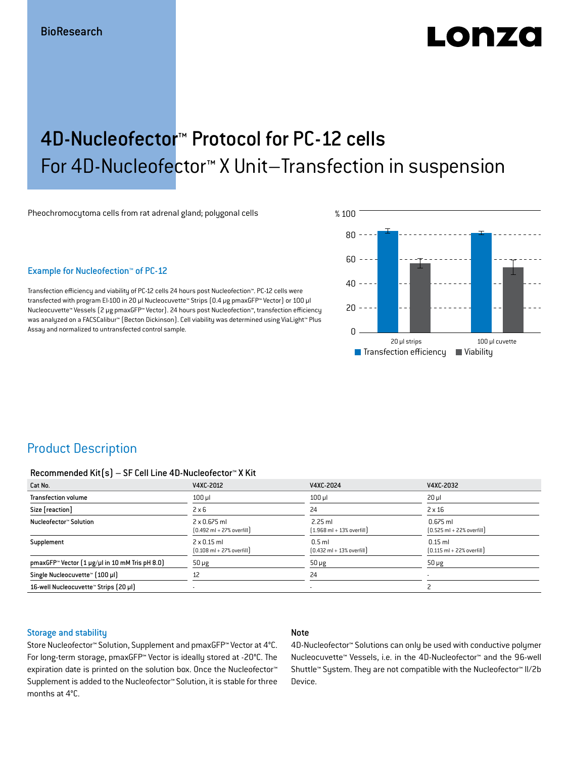# LOD 74.

## 4D-Nucleofector™ Protocol for PC-12 cells For 4D-Nucleofector™ X Unit–Transfection in suspension

Pheochromocytoma cells from rat adrenal gland; polygonal cells

#### Example for Nucleofection™ of PC-12

Transfection efficiency and viability of PC-12 cells 24 hours post Nucleofection™. PC-12 cells were transfected with program EI-100 in 20 μl Nucleocuvette™ Strips (0.4 μg pmaxGFP™ Vector) or 100 μl Nucleocuvette™ Vessels (2 μg pmaxGFP™ Vector). 24 hours post Nucleofection™, transfection efficiency was analyzed on a FACSCalibur™ (Becton Dickinson). Cell viability was determined using ViaLight™ Plus Assay and normalized to untransfected control sample.



## Product Description

#### Recommended Kit(s) – SF Cell Line 4D-Nucleofector™ X Kit

| Cat No.                                                           | V4XC-2012                                                           | V4XC-2024                                                 | V4XC-2032                                                  |
|-------------------------------------------------------------------|---------------------------------------------------------------------|-----------------------------------------------------------|------------------------------------------------------------|
| <b>Transfection volume</b>                                        | $100$ $\mu$                                                         | $100$ $\mu$                                               | $20 \mu$                                                   |
| Size [reaction]                                                   | $2 \times 6$                                                        | 24                                                        | $2 \times 16$                                              |
| Nucleofector™ Solution                                            | $2 \times 0.675$ ml<br>$[0.492 \text{ ml} + 27\% \text{ overfill}]$ | $2.25$ ml<br>$[1.968 \text{ ml} + 13\% \text{ overfill}]$ | $0.675$ ml<br>$[0.525 \text{ ml} + 22\% \text{ overfill}]$ |
| Supplement                                                        | $2 \times 0.15$ ml<br>$[0.108 \text{ ml} + 27\% \text{ overfill}]$  | $0.5$ ml<br>$[0.432 \text{ ml} + 13\% \text{ overfill}]$  | $0.15$ ml<br>$[0.115 \text{ ml} + 22\% \text{ overfill}]$  |
| pmaxGFP <sup>*</sup> Vector $(1 \mu g/\mu)$ in 10 mM Tris pH 8.0) | $50 \mu g$                                                          | $50 \mu g$                                                | $50 \mu g$                                                 |
| Single Nucleocuvette™ [100 µl]                                    | 12                                                                  | 24                                                        |                                                            |
| 16-well Nucleocuvette™ Strips [20 µl]                             |                                                                     | $\overline{\phantom{a}}$                                  |                                                            |

#### Storage and stability

#### Note

Store Nucleofector™ Solution, Supplement and pmaxGFP™ Vector at 4°C. For long-term storage, pmaxGFP™ Vector is ideally stored at -20°C. The expiration date is printed on the solution box. Once the Nucleofector™ Supplement is added to the Nucleofector™ Solution, it is stable for three months at 4°C.

4D-Nucleofector™ Solutions can only be used with conductive polymer Nucleocuvette™ Vessels, i.e. in the 4D-Nucleofector™ and the 96-well Shuttle™ System. They are not compatible with the Nucleofector™ II/2b Device.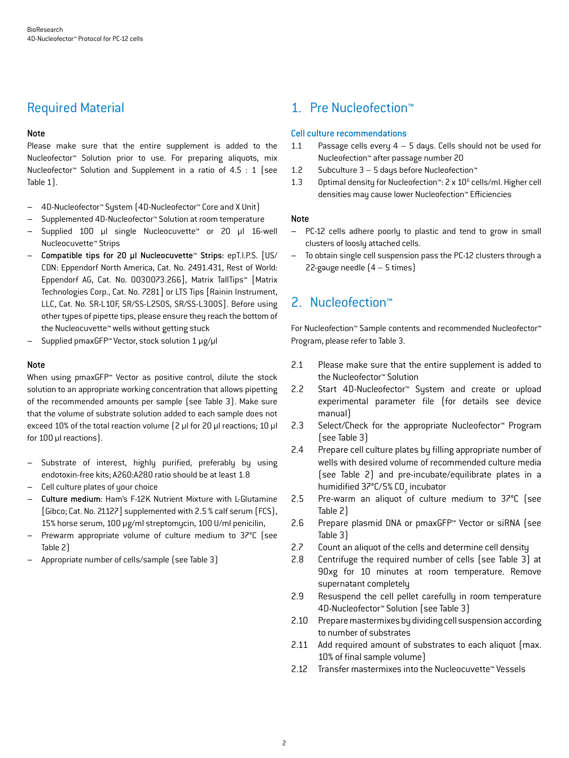## Required Material

#### Note

Please make sure that the entire supplement is added to the Nucleofector™ Solution prior to use. For preparing aliquots, mix Nucleofector™ Solution and Supplement in a ratio of 4.5 : 1 (see Table 1).

- 4D-Nucleofector™ System (4D-Nucleofector™ Core and X Unit)
- Supplemented 4D-Nucleofector™ Solution at room temperature
- Supplied 100 µl single Nucleocuvette™ or 20 µl 16-well Nucleocuvette™ Strips
- Compatible tips for 20 µl Nucleocuvette™ Strips: epT.I.P.S. [US/ CDN: Eppendorf North America, Cat. No. 2491.431, Rest of World: Eppendorf AG, Cat. No. 0030073.266], Matrix TallTips™ [Matrix Technologies Corp., Cat. No. 7281] or LTS Tips [Rainin Instrument, LLC, Cat. No. SR-L10F, SR/SS-L250S, SR/SS-L300S]. Before using other types of pipette tips, please ensure they reach the bottom of the Nucleocuvette™ wells without getting stuck
- Supplied pmaxGFP™ Vector, stock solution 1 μg/μl

#### **Note**

When using pmaxGFP<sup>™</sup> Vector as positive control, dilute the stock solution to an appropriate working concentration that allows pipetting of the recommended amounts per sample (see Table 3). Make sure that the volume of substrate solution added to each sample does not exceed 10% of the total reaction volume (2 μl for 20 μl reactions; 10 μl for 100 μl reactions).

- Substrate of interest, highly purified, preferably by using endotoxin-free kits; A260:A280 ratio should be at least 1.8
- Cell culture plates of your choice
- Culture medium: Ham's F-12K Nutrient Mixture with L-Glutamine [Gibco; Cat. No. 21127] supplemented with 2.5 % calf serum (FCS), 15% horse serum, 100 μg/ml streptomycin, 100 U/ml penicilin,
- Prewarm appropriate volume of culture medium to 37°C (see Table 2)
- Appropriate number of cells/sample (see Table 3)

## 1. Pre Nucleofection™

#### Cell culture recommendations

- 1.1 Passage cells every  $4 5$  days. Cells should not be used for Nucleofection™ after passage number 20
- 1.2 Subculture 3 5 days before Nucleofection™
- 1.3 Optimal density for Nucleofection<sup>™</sup>: 2 x 10<sup>6</sup> cells/ml. Higher cell densities may cause lower Nucleofection™ Efficiencies

#### Note

- PC-12 cells adhere poorly to plastic and tend to grow in small clusters of loosly attached cells.
- To obtain single cell suspension pass the PC-12 clusters through a 22-gauge needle (4 – 5 times)

## 2. Nucleofection™

For Nucleofection™ Sample contents and recommended Nucleofector™ Program, please refer to Table 3.

- 2.1 Please make sure that the entire supplement is added to the Nucleofector™ Solution
- 2.2 Start 4D-Nucleofector™ System and create or upload experimental parameter file (for details see device manual)
- 2.3 Select/Check for the appropriate Nucleofector™ Program (see Table 3)
- 2.4 Prepare cell culture plates by filling appropriate number of wells with desired volume of recommended culture media (see Table 2) and pre-incubate/equilibrate plates in a humidified 37°C/5% CO<sub>2</sub> incubator
- 2.5 Pre-warm an aliquot of culture medium to 37°C (see Table 2)
- 2.6 Prepare plasmid DNA or pmaxGFP™ Vector or siRNA (see Table 3)
- 2.7 Count an aliquot of the cells and determine cell density
- 2.8 Centrifuge the required number of cells (see Table 3) at 90xg for 10 minutes at room temperature. Remove supernatant completely
- 2.9 Resuspend the cell pellet carefully in room temperature 4D-Nucleofector™ Solution (see Table 3)
- 2.10 Prepare mastermixes by dividing cell suspension according to number of substrates
- 2.11 Add required amount of substrates to each aliquot (max. 10% of final sample volume)
- 2.12 Transfer mastermixes into the Nucleocuvette™ Vessels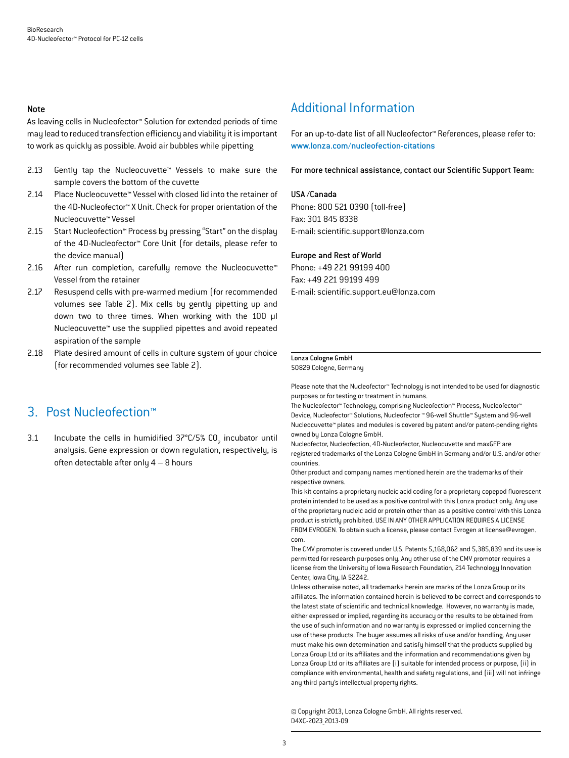#### Note

As leaving cells in Nucleofector™ Solution for extended periods of time may lead to reduced transfection efficiency and viability it is important to work as quickly as possible. Avoid air bubbles while pipetting

- 2.13 Gently tap the Nucleocuvette™ Vessels to make sure the sample covers the bottom of the cuvette
- 2.14 Place Nucleocuvette™ Vessel with closed lid into the retainer of the 4D-Nucleofector™ X Unit. Check for proper orientation of the Nucleocuvette™ Vessel
- 2.15 Start Nucleofection™ Process by pressing "Start" on the display of the 4D-Nucleofector™ Core Unit (for details, please refer to the device manual)
- 2.16 After run completion, carefully remove the Nucleocuvette™ Vessel from the retainer
- 2.17 Resuspend cells with pre-warmed medium (for recommended volumes see Table 2). Mix cells by gently pipetting up and down two to three times. When working with the 100 µl Nucleocuvette™ use the supplied pipettes and avoid repeated aspiration of the sample
- 2.18 Plate desired amount of cells in culture system of your choice (for recommended volumes see Table 2).

## 3. Post Nucleofection™

3.1 Incubate the cells in humidified  $37^{\circ}$ C/5% CO<sub>2</sub> incubator until analysis. Gene expression or down regulation, respectively, is often detectable after only  $4 - 8$  hours

## Additional Information

For an up-to-date list of all Nucleofector™ References, please refer to: www.lonza.com/nucleofection-citations

For more technical assistance, contact our Scientific Support Team:

#### USA /Canada

Phone: 800 521 0390 (toll-free) Fax: 301 845 8338 E-mail: scientific.support@lonza.com

#### Europe and Rest of World

Phone: +49 221 99199 400 Fax: +49 221 99199 499 E-mail: scientific.support.eu@lonza.com

#### Lonza Cologne GmbH

50829 Cologne, Germany

Please note that the Nucleofector™ Technology is not intended to be used for diagnostic purposes or for testing or treatment in humans.

The Nucleofector™ Technology, comprising Nucleofection™ Process, Nucleofector™ Device, Nucleofector™ Solutions, Nucleofector ™ 96-well Shuttle™ System and 96-well Nucleocuvette™ plates and modules is covered by patent and/or patent-pending rights owned by Lonza Cologne GmbH.

Nucleofector, Nucleofection, 4D-Nucleofector, Nucleocuvette and maxGFP are registered trademarks of the Lonza Cologne GmbH in Germany and/or U.S. and/or other countries.

Other product and company names mentioned herein are the trademarks of their respective owners.

This kit contains a proprietary nucleic acid coding for a proprietary copepod fluorescent protein intended to be used as a positive control with this Lonza product only. Any use of the proprietary nucleic acid or protein other than as a positive control with this Lonza product is strictly prohibited. USE IN ANY OTHER APPLICATION REQUIRES A LICENSE FROM EVROGEN. To obtain such a license, please contact Evrogen at license@evrogen. com.

The CMV promoter is covered under U.S. Patents 5,168,062 and 5,385,839 and its use is permitted for research purposes only. Any other use of the CMV promoter requires a license from the University of Iowa Research Foundation, 214 Technology Innovation Center, Iowa City, IA 52242.

Unless otherwise noted, all trademarks herein are marks of the Lonza Group or its affiliates. The information contained herein is believed to be correct and corresponds to the latest state of scientific and technical knowledge. However, no warranty is made, either expressed or implied, regarding its accuracy or the results to be obtained from the use of such information and no warranty is expressed or implied concerning the use of these products. The buyer assumes all risks of use and/or handling. Any user must make his own determination and satisfy himself that the products supplied by Lonza Group Ltd or its affiliates and the information and recommendations given by Lonza Group Ltd or its affiliates are (i) suitable for intended process or purpose, (ii) in compliance with environmental, health and safety regulations, and (iii) will not infringe any third party's intellectual property rights.

© Copyright 2013, Lonza Cologne GmbH. All rights reserved. D4XC-2023\_2013-09